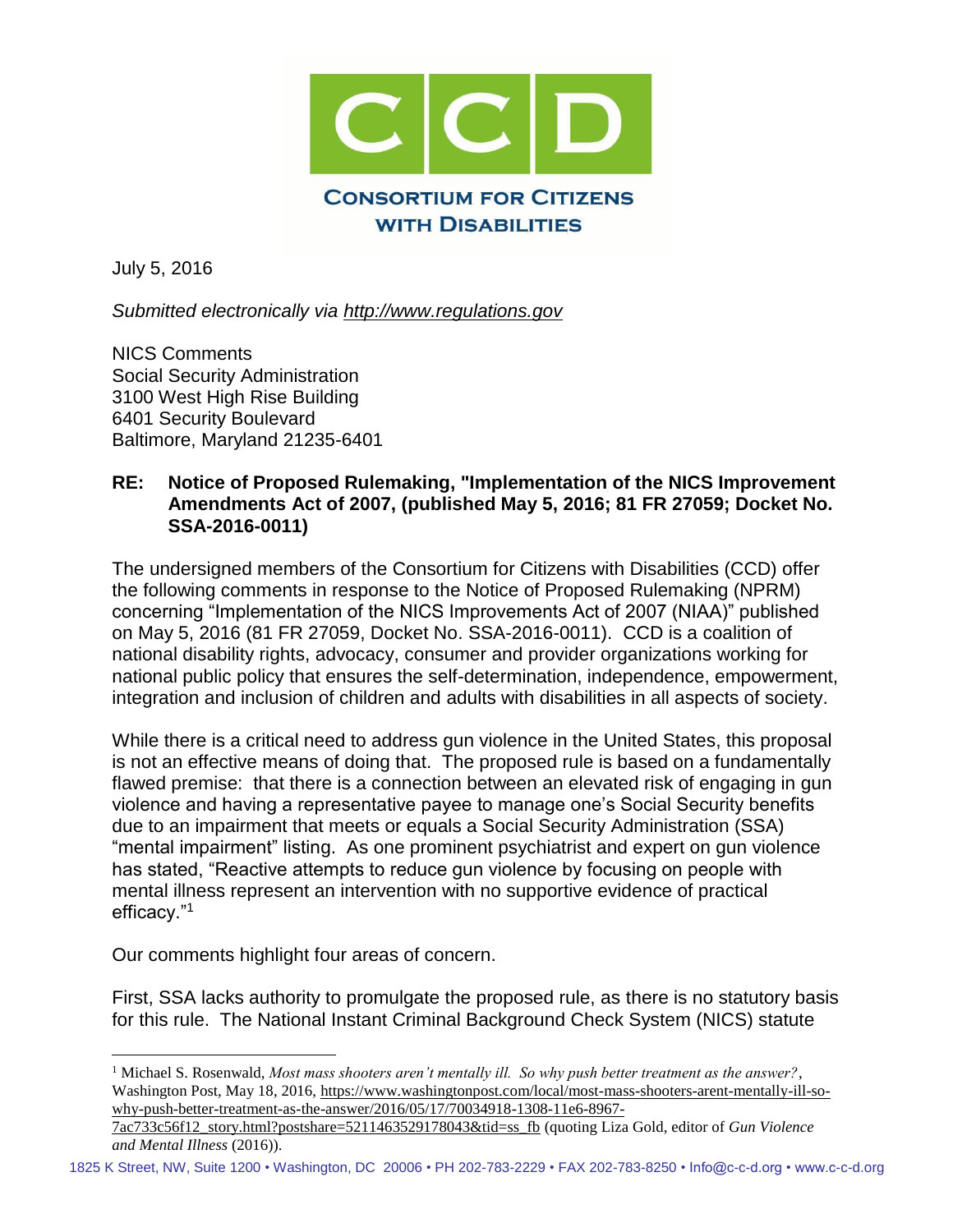

July 5, 2016

 $\overline{a}$ 

*Submitted electronically via [http://www.regulations.gov](http://www.regulations.gov/)*

NICS Comments Social Security Administration 3100 West High Rise Building 6401 Security Boulevard Baltimore, Maryland 21235-6401

#### **RE: Notice of Proposed Rulemaking, "Implementation of the NICS Improvement Amendments Act of 2007, (published May 5, 2016; 81 FR 27059; Docket No. SSA-2016-0011)**

The undersigned members of the Consortium for Citizens with Disabilities (CCD) offer the following comments in response to the Notice of Proposed Rulemaking (NPRM) concerning "Implementation of the NICS Improvements Act of 2007 (NIAA)" published on May 5, 2016 (81 FR 27059, Docket No. SSA-2016-0011). CCD is a coalition of national disability rights, advocacy, consumer and provider organizations working for national public policy that ensures the self-determination, independence, empowerment, integration and inclusion of children and adults with disabilities in all aspects of society.

While there is a critical need to address gun violence in the United States, this proposal is not an effective means of doing that. The proposed rule is based on a fundamentally flawed premise: that there is a connection between an elevated risk of engaging in gun violence and having a representative payee to manage one's Social Security benefits due to an impairment that meets or equals a Social Security Administration (SSA) "mental impairment" listing. As one prominent psychiatrist and expert on gun violence has stated, "Reactive attempts to reduce gun violence by focusing on people with mental illness represent an intervention with no supportive evidence of practical efficacy."<sup>1</sup>

Our comments highlight four areas of concern.

First, SSA lacks authority to promulgate the proposed rule, as there is no statutory basis for this rule. The National Instant Criminal Background Check System (NICS) statute

<sup>1</sup> Michael S. Rosenwald, *Most mass shooters aren't mentally ill. So why push better treatment as the answer?*, Washington Post, May 18, 2016, [https://www.washingtonpost.com/local/most-mass-shooters-arent-mentally-ill-so](https://www.washingtonpost.com/local/most-mass-shooters-arent-mentally-ill-so-why-push-better-treatment-as-the-answer/2016/05/17/70034918-1308-11e6-8967-7ac733c56f12_story.html?postshare=5211463529178043&tid=ss_fb)[why-push-better-treatment-as-the-answer/2016/05/17/70034918-1308-11e6-8967-](https://www.washingtonpost.com/local/most-mass-shooters-arent-mentally-ill-so-why-push-better-treatment-as-the-answer/2016/05/17/70034918-1308-11e6-8967-7ac733c56f12_story.html?postshare=5211463529178043&tid=ss_fb)

[<sup>7</sup>ac733c56f12\\_story.html?postshare=5211463529178043&tid=ss\\_fb](https://www.washingtonpost.com/local/most-mass-shooters-arent-mentally-ill-so-why-push-better-treatment-as-the-answer/2016/05/17/70034918-1308-11e6-8967-7ac733c56f12_story.html?postshare=5211463529178043&tid=ss_fb) (quoting Liza Gold, editor of *Gun Violence and Mental Illness* (2016)).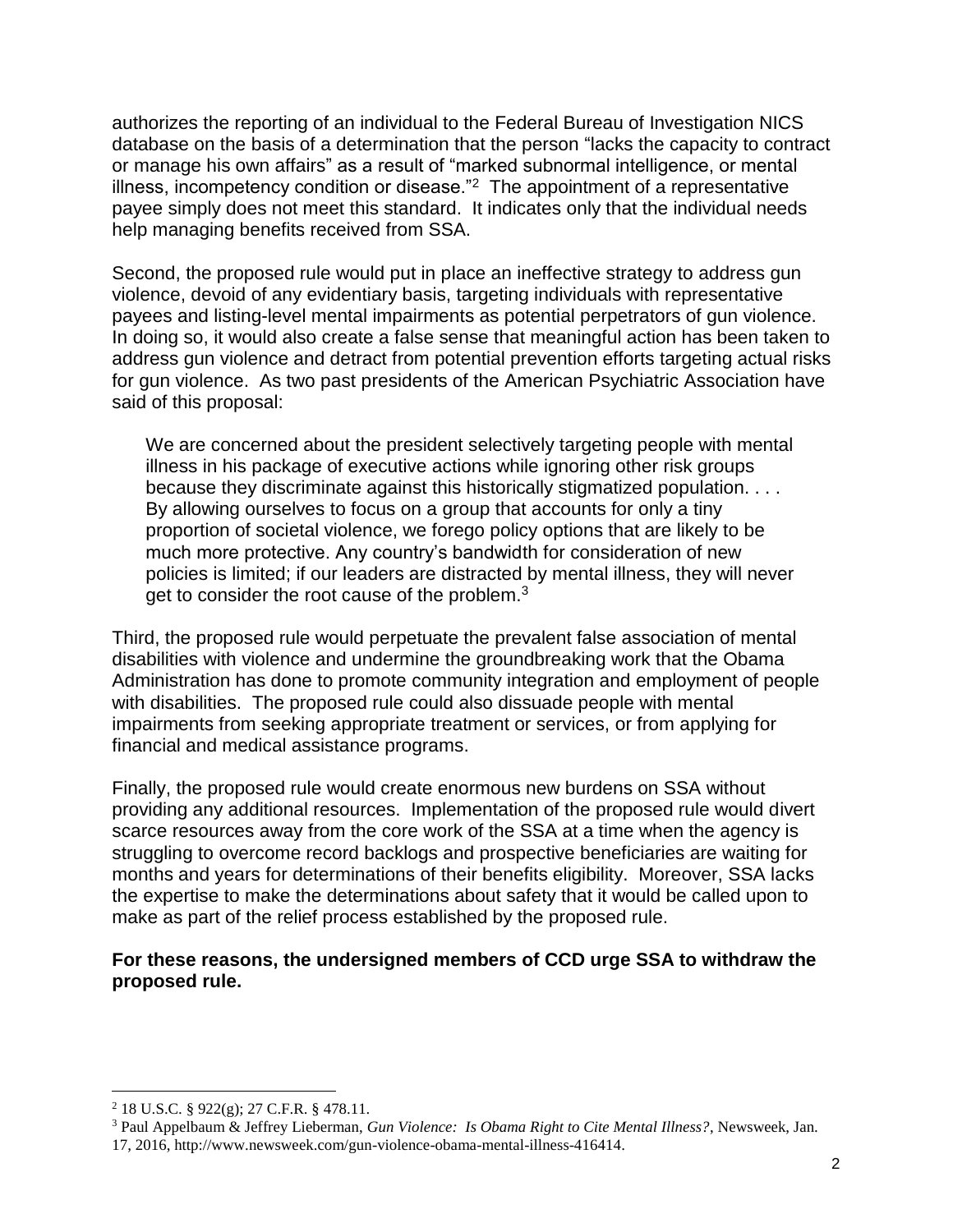authorizes the reporting of an individual to the Federal Bureau of Investigation NICS database on the basis of a determination that the person "lacks the capacity to contract or manage his own affairs" as a result of "marked subnormal intelligence, or mental illness, incompetency condition or disease. $"^2$  The appointment of a representative payee simply does not meet this standard. It indicates only that the individual needs help managing benefits received from SSA.

Second, the proposed rule would put in place an ineffective strategy to address gun violence, devoid of any evidentiary basis, targeting individuals with representative payees and listing-level mental impairments as potential perpetrators of gun violence. In doing so, it would also create a false sense that meaningful action has been taken to address gun violence and detract from potential prevention efforts targeting actual risks for gun violence. As two past presidents of the American Psychiatric Association have said of this proposal:

We are concerned about the president selectively targeting people with mental illness in his package of executive actions while ignoring other risk groups because they discriminate against this historically stigmatized population. . . . By allowing ourselves to focus on a group that accounts for only a tiny proportion of societal violence, we forego policy options that are likely to be much more protective. Any country's bandwidth for consideration of new policies is limited; if our leaders are distracted by mental illness, they will never get to consider the root cause of the problem.<sup>3</sup>

Third, the proposed rule would perpetuate the prevalent false association of mental disabilities with violence and undermine the groundbreaking work that the Obama Administration has done to promote community integration and employment of people with disabilities. The proposed rule could also dissuade people with mental impairments from seeking appropriate treatment or services, or from applying for financial and medical assistance programs.

Finally, the proposed rule would create enormous new burdens on SSA without providing any additional resources. Implementation of the proposed rule would divert scarce resources away from the core work of the SSA at a time when the agency is struggling to overcome record backlogs and prospective beneficiaries are waiting for months and years for determinations of their benefits eligibility. Moreover, SSA lacks the expertise to make the determinations about safety that it would be called upon to make as part of the relief process established by the proposed rule.

### **For these reasons, the undersigned members of CCD urge SSA to withdraw the proposed rule.**

<sup>&</sup>lt;sup>2</sup> 18 U.S.C. § 922 $(g)$ ; 27 C.F.R. § 478.11.

<sup>3</sup> Paul Appelbaum & Jeffrey Lieberman, *Gun Violence: Is Obama Right to Cite Mental Illness?*, Newsweek, Jan. 17, 2016, http://www.newsweek.com/gun-violence-obama-mental-illness-416414.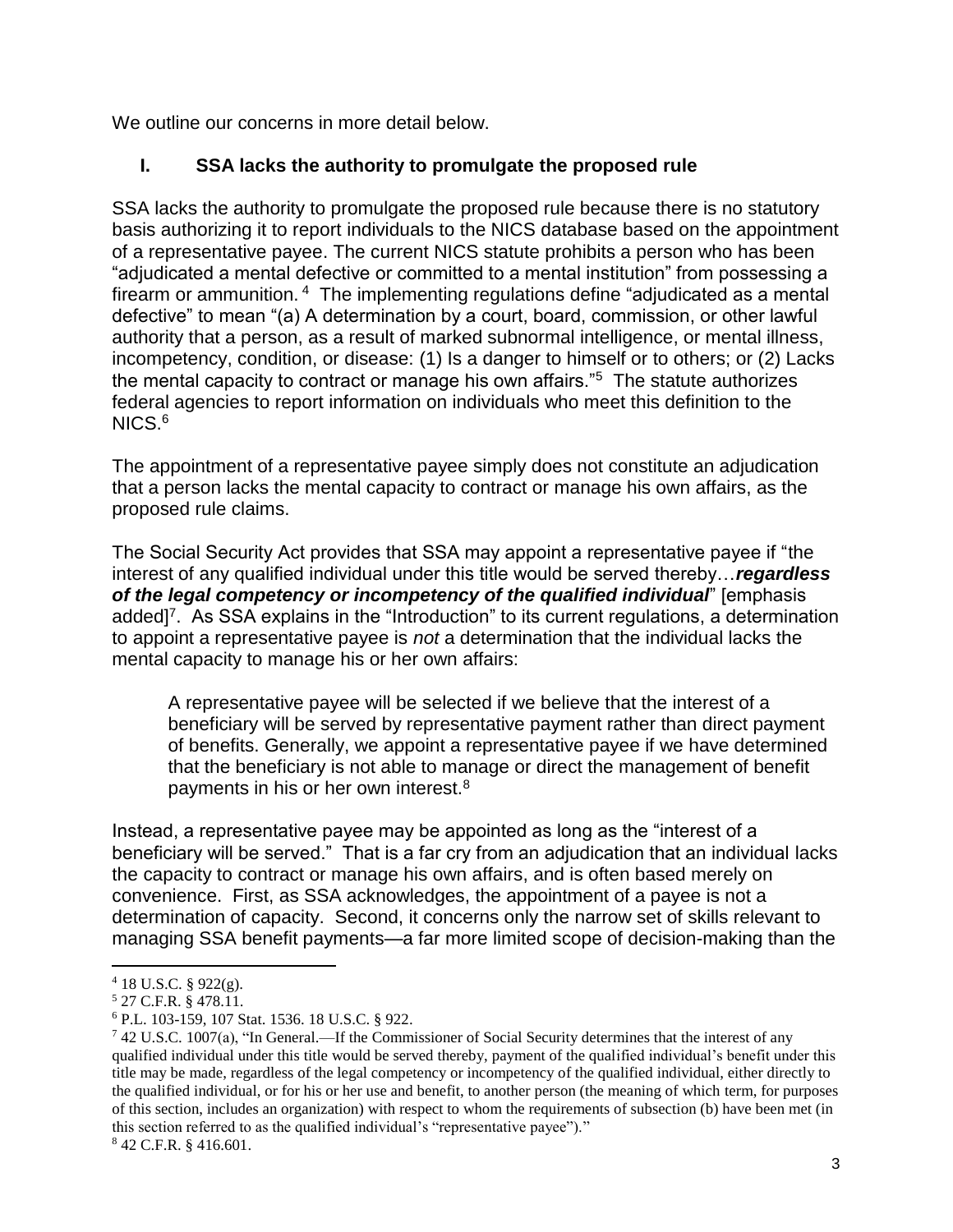We outline our concerns in more detail below.

## **I. SSA lacks the authority to promulgate the proposed rule**

SSA lacks the authority to promulgate the proposed rule because there is no statutory basis authorizing it to report individuals to the NICS database based on the appointment of a representative payee. The current NICS statute prohibits a person who has been "adjudicated a mental defective or committed to a mental institution" from possessing a firearm or ammunition. <sup>4</sup> The implementing regulations define "adjudicated as a mental defective" to mean "(a) A determination by a court, board, commission, or other lawful authority that a person, as a result of marked subnormal intelligence, or mental illness, incompetency, condition, or disease: (1) Is a danger to himself or to others; or (2) Lacks the mental capacity to contract or manage his own affairs."<sup>5</sup> The statute authorizes federal agencies to report information on individuals who meet this definition to the NICS.<sup>6</sup>

The appointment of a representative payee simply does not constitute an adjudication that a person lacks the mental capacity to contract or manage his own affairs, as the proposed rule claims.

The Social Security Act provides that SSA may appoint a representative payee if "the interest of any qualified individual under this title would be served thereby…*regardless of the legal competency or incompetency of the qualified individual*" [emphasis added]<sup>7</sup>. As SSA explains in the "Introduction" to its current regulations, a determination to appoint a representative payee is *not* a determination that the individual lacks the mental capacity to manage his or her own affairs:

A representative payee will be selected if we believe that the interest of a beneficiary will be served by representative payment rather than direct payment of benefits. Generally, we appoint a representative payee if we have determined that the beneficiary is not able to manage or direct the management of benefit payments in his or her own interest.<sup>8</sup>

Instead, a representative payee may be appointed as long as the "interest of a beneficiary will be served." That is a far cry from an adjudication that an individual lacks the capacity to contract or manage his own affairs, and is often based merely on convenience. First, as SSA acknowledges, the appointment of a payee is not a determination of capacity. Second, it concerns only the narrow set of skills relevant to managing SSA benefit payments—a far more limited scope of decision-making than the

<sup>7</sup> 42 U.S.C. 1007(a), "In General.—If the Commissioner of Social Security determines that the interest of any qualified individual under this title would be served thereby, payment of the qualified individual's benefit under this title may be made, regardless of the legal competency or incompetency of the qualified individual, either directly to the qualified individual, or for his or her use and benefit, to another person (the meaning of which term, for purposes of this section, includes an organization) with respect to whom the requirements of subsection (b) have been met (in this section referred to as the qualified individual's "representative payee")."

<sup>8</sup> 42 C.F.R. § 416.601.

 $\overline{a}$  $4$  18 U.S.C. § 922(g).

<sup>5</sup> 27 C.F.R. § 478.11.

<sup>6</sup> P.L. 103-159, 107 Stat. 1536. 18 U.S.C. § 922.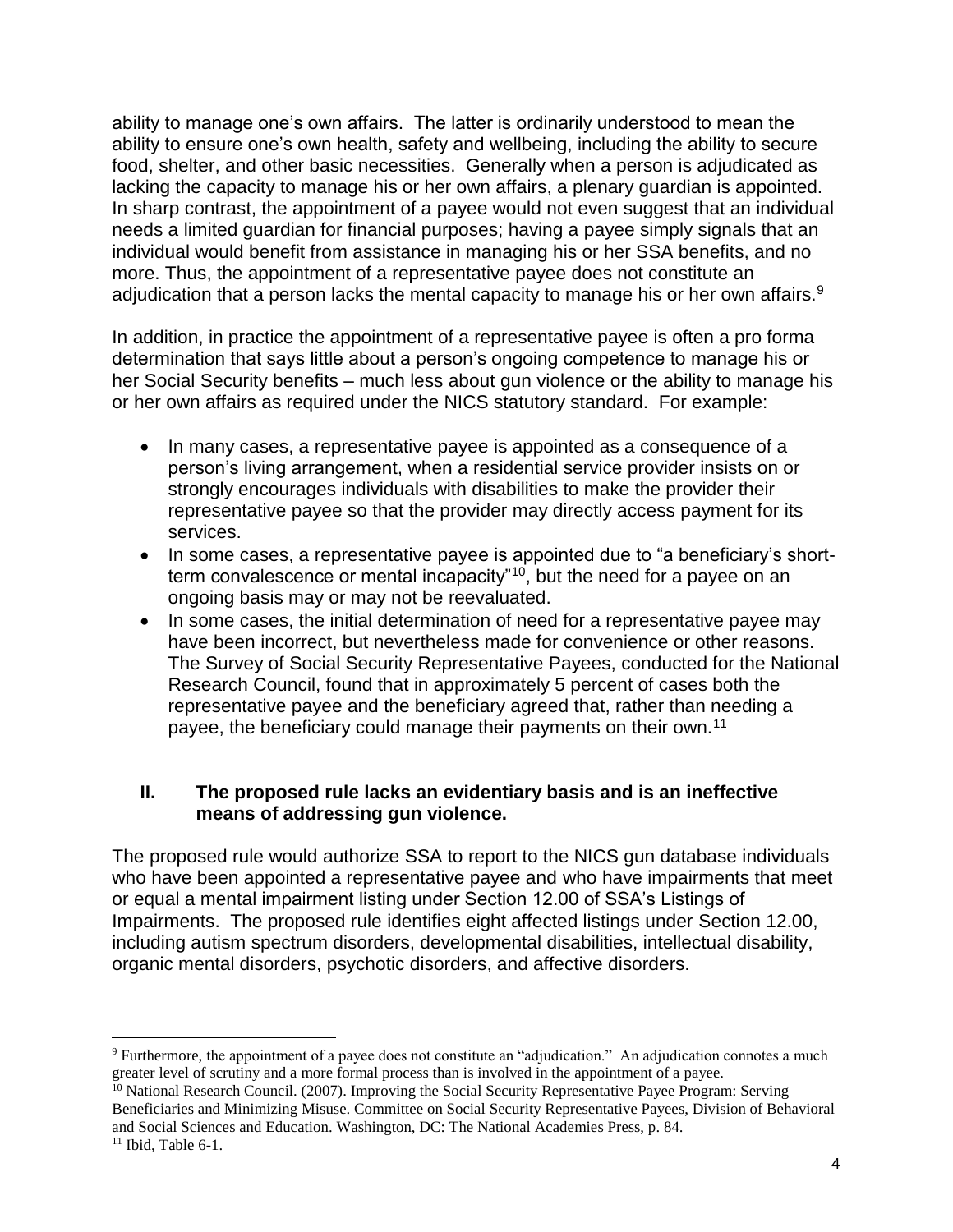ability to manage one's own affairs. The latter is ordinarily understood to mean the ability to ensure one's own health, safety and wellbeing, including the ability to secure food, shelter, and other basic necessities. Generally when a person is adjudicated as lacking the capacity to manage his or her own affairs, a plenary guardian is appointed. In sharp contrast, the appointment of a payee would not even suggest that an individual needs a limited guardian for financial purposes; having a payee simply signals that an individual would benefit from assistance in managing his or her SSA benefits, and no more. Thus, the appointment of a representative payee does not constitute an adjudication that a person lacks the mental capacity to manage his or her own affairs.<sup>9</sup>

In addition, in practice the appointment of a representative payee is often a pro forma determination that says little about a person's ongoing competence to manage his or her Social Security benefits – much less about gun violence or the ability to manage his or her own affairs as required under the NICS statutory standard. For example:

- In many cases, a representative payee is appointed as a consequence of a person's living arrangement, when a residential service provider insists on or strongly encourages individuals with disabilities to make the provider their representative payee so that the provider may directly access payment for its services.
- In some cases, a representative payee is appointed due to "a beneficiary's shortterm convalescence or mental incapacity<sup>"10</sup>, but the need for a payee on an ongoing basis may or may not be reevaluated.
- In some cases, the initial determination of need for a representative payee may have been incorrect, but nevertheless made for convenience or other reasons. The Survey of Social Security Representative Payees, conducted for the National Research Council, found that in approximately 5 percent of cases both the representative payee and the beneficiary agreed that, rather than needing a payee, the beneficiary could manage their payments on their own.<sup>11</sup>

### **II. The proposed rule lacks an evidentiary basis and is an ineffective means of addressing gun violence.**

The proposed rule would authorize SSA to report to the NICS gun database individuals who have been appointed a representative payee and who have impairments that meet or equal a mental impairment listing under Section 12.00 of SSA's Listings of Impairments. The proposed rule identifies eight affected listings under Section 12.00, including autism spectrum disorders, developmental disabilities, intellectual disability, organic mental disorders, psychotic disorders, and affective disorders.

<sup>9</sup> Furthermore, the appointment of a payee does not constitute an "adjudication." An adjudication connotes a much greater level of scrutiny and a more formal process than is involved in the appointment of a payee.

<sup>&</sup>lt;sup>10</sup> National Research Council. (2007). Improving the Social Security Representative Payee Program: Serving Beneficiaries and Minimizing Misuse. Committee on Social Security Representative Payees, Division of Behavioral and Social Sciences and Education. Washington, DC: The National Academies Press, p. 84.

 $11$  Ibid, Table 6-1.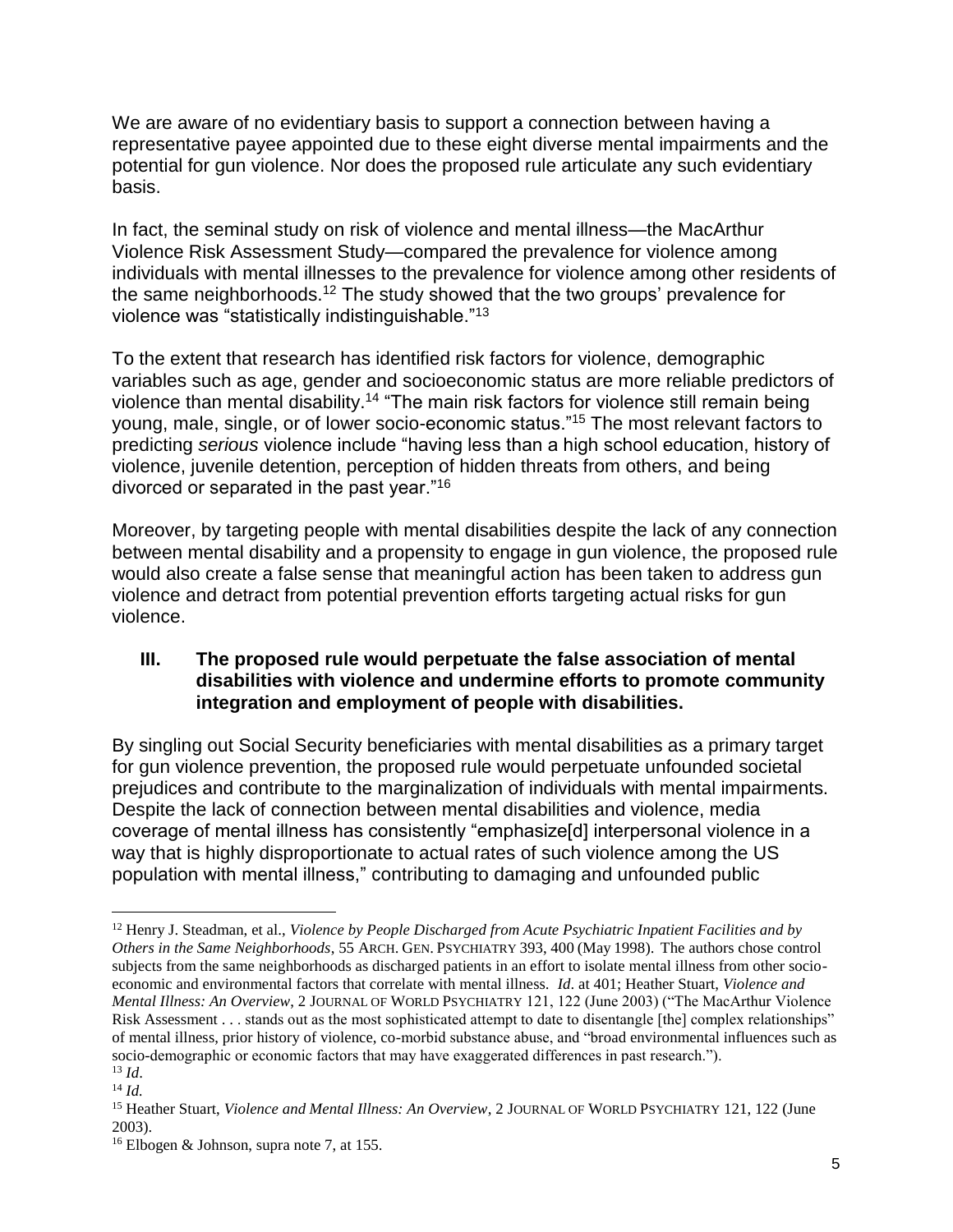We are aware of no evidentiary basis to support a connection between having a representative payee appointed due to these eight diverse mental impairments and the potential for gun violence. Nor does the proposed rule articulate any such evidentiary basis.

In fact, the seminal study on risk of violence and mental illness—the MacArthur Violence Risk Assessment Study—compared the prevalence for violence among individuals with mental illnesses to the prevalence for violence among other residents of the same neighborhoods.<sup>12</sup> The study showed that the two groups' prevalence for violence was "statistically indistinguishable."<sup>13</sup>

To the extent that research has identified risk factors for violence, demographic variables such as age, gender and socioeconomic status are more reliable predictors of violence than mental disability.<sup>14</sup> "The main risk factors for violence still remain being young, male, single, or of lower socio-economic status."<sup>15</sup> The most relevant factors to predicting *serious* violence include "having less than a high school education, history of violence, juvenile detention, perception of hidden threats from others, and being divorced or separated in the past year."<sup>16</sup>

Moreover, by targeting people with mental disabilities despite the lack of any connection between mental disability and a propensity to engage in gun violence, the proposed rule would also create a false sense that meaningful action has been taken to address gun violence and detract from potential prevention efforts targeting actual risks for gun violence.

### **III. The proposed rule would perpetuate the false association of mental disabilities with violence and undermine efforts to promote community integration and employment of people with disabilities.**

By singling out Social Security beneficiaries with mental disabilities as a primary target for gun violence prevention, the proposed rule would perpetuate unfounded societal prejudices and contribute to the marginalization of individuals with mental impairments. Despite the lack of connection between mental disabilities and violence, media coverage of mental illness has consistently "emphasize[d] interpersonal violence in a way that is highly disproportionate to actual rates of such violence among the US population with mental illness," contributing to damaging and unfounded public

<sup>12</sup> Henry J. Steadman, et al., *Violence by People Discharged from Acute Psychiatric Inpatient Facilities and by Others in the Same Neighborhoods*, 55 ARCH. GEN. PSYCHIATRY 393, 400 (May 1998). The authors chose control subjects from the same neighborhoods as discharged patients in an effort to isolate mental illness from other socioeconomic and environmental factors that correlate with mental illness. *Id*. at 401; Heather Stuart, *Violence and Mental Illness: An Overview*, 2 JOURNAL OF WORLD PSYCHIATRY 121, 122 (June 2003) ("The MacArthur Violence Risk Assessment . . . stands out as the most sophisticated attempt to date to disentangle [the] complex relationships" of mental illness, prior history of violence, co-morbid substance abuse, and "broad environmental influences such as socio-demographic or economic factors that may have exaggerated differences in past research.").  $^{13}$  *Id.* 

<sup>14</sup> *Id.*

<sup>15</sup> Heather Stuart, *Violence and Mental Illness: An Overview*, 2 JOURNAL OF WORLD PSYCHIATRY 121, 122 (June 2003).

<sup>16</sup> Elbogen & Johnson, supra note 7, at 155.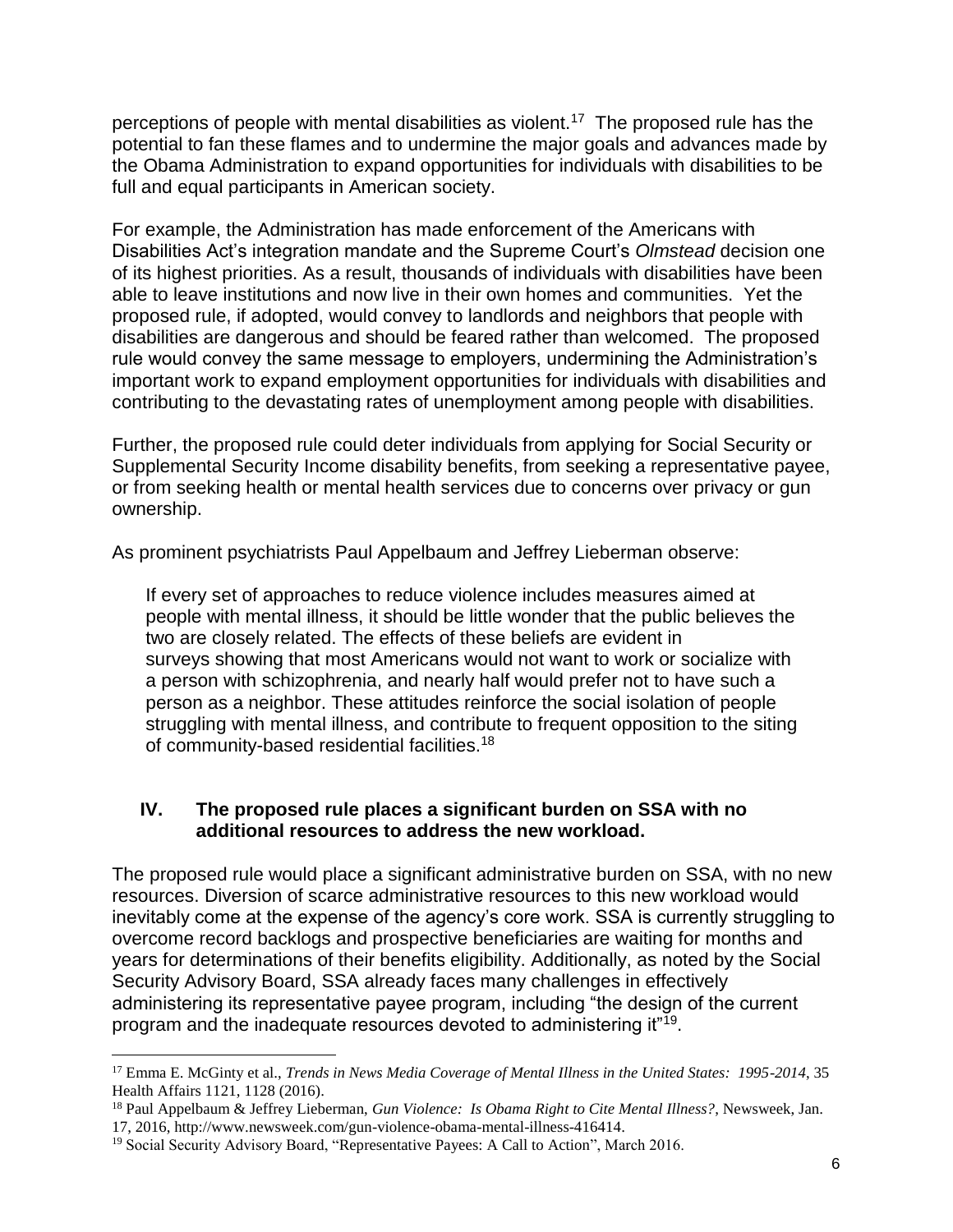perceptions of people with mental disabilities as violent.<sup>17</sup> The proposed rule has the potential to fan these flames and to undermine the major goals and advances made by the Obama Administration to expand opportunities for individuals with disabilities to be full and equal participants in American society.

For example, the Administration has made enforcement of the Americans with Disabilities Act's integration mandate and the Supreme Court's *Olmstead* decision one of its highest priorities. As a result, thousands of individuals with disabilities have been able to leave institutions and now live in their own homes and communities. Yet the proposed rule, if adopted, would convey to landlords and neighbors that people with disabilities are dangerous and should be feared rather than welcomed. The proposed rule would convey the same message to employers, undermining the Administration's important work to expand employment opportunities for individuals with disabilities and contributing to the devastating rates of unemployment among people with disabilities.

Further, the proposed rule could deter individuals from applying for Social Security or Supplemental Security Income disability benefits, from seeking a representative payee, or from seeking health or mental health services due to concerns over privacy or gun ownership.

As prominent psychiatrists Paul Appelbaum and Jeffrey Lieberman observe:

If every set of approaches to reduce violence includes measures aimed at people with mental illness, it should be little wonder that the public believes the two are closely related. The effects of these beliefs are evident in surveys showing that most Americans would not want to work or socialize with a person with schizophrenia, and nearly half would prefer not to have such a person as a neighbor. These attitudes reinforce the social isolation of people struggling with mental illness, and contribute to frequent opposition to the siting of community-based residential facilities.<sup>18</sup>

### **IV. The proposed rule places a significant burden on SSA with no additional resources to address the new workload.**

The proposed rule would place a significant administrative burden on SSA, with no new resources. Diversion of scarce administrative resources to this new workload would inevitably come at the expense of the agency's core work. SSA is currently struggling to overcome record backlogs and prospective beneficiaries are waiting for months and years for determinations of their benefits eligibility. Additionally, as noted by the Social Security Advisory Board, SSA already faces many challenges in effectively administering its representative payee program, including "the design of the current program and the inadequate resources devoted to administering it"<sup>19</sup>.

<sup>17</sup> Emma E. McGinty et al., *Trends in News Media Coverage of Mental Illness in the United States: 1995-2014*, 35 Health Affairs 1121, 1128 (2016).

<sup>18</sup> Paul Appelbaum & Jeffrey Lieberman, *Gun Violence: Is Obama Right to Cite Mental Illness?*, Newsweek, Jan. 17, 2016, http://www.newsweek.com/gun-violence-obama-mental-illness-416414.

<sup>19</sup> Social Security Advisory Board, "Representative Payees: A Call to Action", March 2016.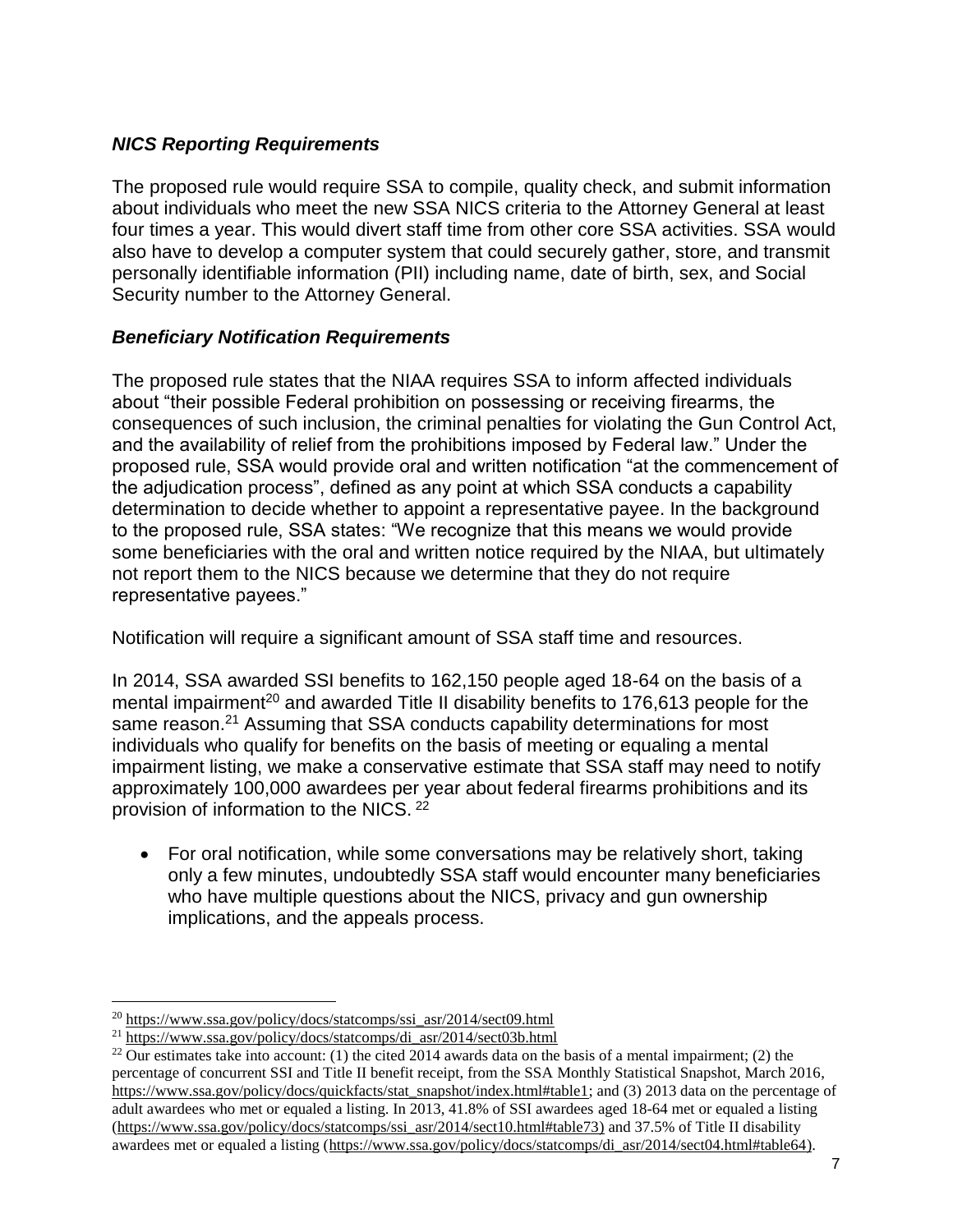## *NICS Reporting Requirements*

The proposed rule would require SSA to compile, quality check, and submit information about individuals who meet the new SSA NICS criteria to the Attorney General at least four times a year. This would divert staff time from other core SSA activities. SSA would also have to develop a computer system that could securely gather, store, and transmit personally identifiable information (PII) including name, date of birth, sex, and Social Security number to the Attorney General.

### *Beneficiary Notification Requirements*

The proposed rule states that the NIAA requires SSA to inform affected individuals about "their possible Federal prohibition on possessing or receiving firearms, the consequences of such inclusion, the criminal penalties for violating the Gun Control Act, and the availability of relief from the prohibitions imposed by Federal law." Under the proposed rule, SSA would provide oral and written notification "at the commencement of the adjudication process", defined as any point at which SSA conducts a capability determination to decide whether to appoint a representative payee. In the background to the proposed rule, SSA states: "We recognize that this means we would provide some beneficiaries with the oral and written notice required by the NIAA, but ultimately not report them to the NICS because we determine that they do not require representative payees."

Notification will require a significant amount of SSA staff time and resources.

In 2014, SSA awarded SSI benefits to 162,150 people aged 18-64 on the basis of a mental impairment<sup>20</sup> and awarded Title II disability benefits to 176,613 people for the same reason.<sup>21</sup> Assuming that SSA conducts capability determinations for most individuals who qualify for benefits on the basis of meeting or equaling a mental impairment listing, we make a conservative estimate that SSA staff may need to notify approximately 100,000 awardees per year about federal firearms prohibitions and its provision of information to the NICS. <sup>22</sup>

 For oral notification, while some conversations may be relatively short, taking only a few minutes, undoubtedly SSA staff would encounter many beneficiaries who have multiple questions about the NICS, privacy and gun ownership implications, and the appeals process.

<sup>20</sup> [https://www.ssa.gov/policy/docs/statcomps/ssi\\_asr/2014/sect09.html](https://www.ssa.gov/policy/docs/statcomps/ssi_asr/2014/sect09.html)

<sup>21</sup> [https://www.ssa.gov/policy/docs/statcomps/di\\_asr/2014/sect03b.html](https://www.ssa.gov/policy/docs/statcomps/di_asr/2014/sect03b.html)

<sup>&</sup>lt;sup>22</sup> Our estimates take into account: (1) the cited 2014 awards data on the basis of a mental impairment; (2) the percentage of concurrent SSI and Title II benefit receipt, from the SSA Monthly Statistical Snapshot, March 2016, [https://www.ssa.gov/policy/docs/quickfacts/stat\\_snapshot/index.html#table1;](https://www.ssa.gov/policy/docs/quickfacts/stat_snapshot/index.html#table1) and (3) 2013 data on the percentage of adult awardees who met or equaled a listing. In 2013, 41.8% of SSI awardees aged 18-64 met or equaled a listing [\(https://www.ssa.gov/policy/docs/statcomps/ssi\\_asr/2014/sect10.html#table73\)](https://www.ssa.gov/policy/docs/statcomps/ssi_asr/2014/sect10.html#table73) and 37.5% of Title II disability awardees met or equaled a listing [\(https://www.ssa.gov/policy/docs/statcomps/di\\_asr/2014/sect04.html#table64\)](https://www.ssa.gov/policy/docs/statcomps/di_asr/2014/sect04.html#table64).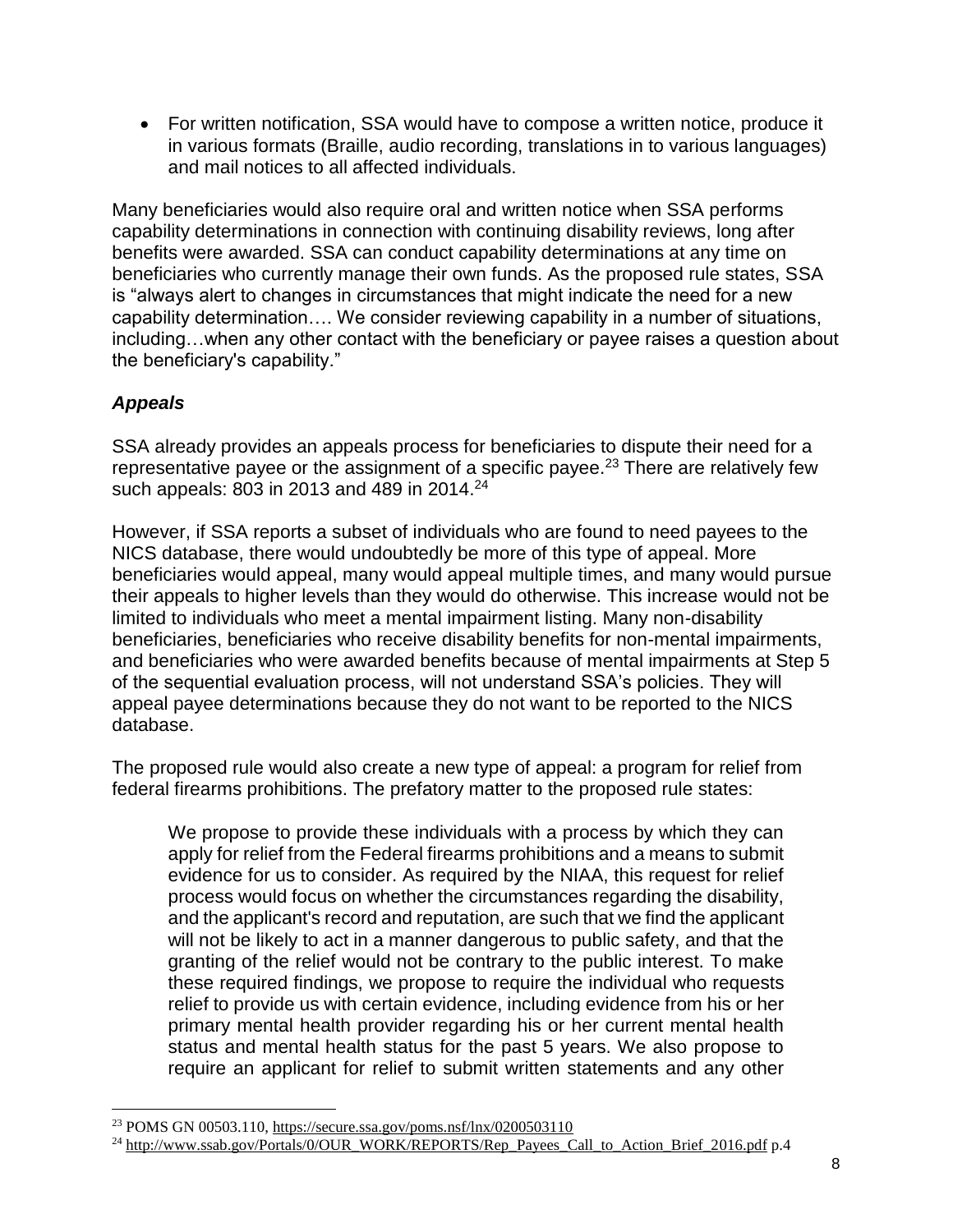For written notification, SSA would have to compose a written notice, produce it in various formats (Braille, audio recording, translations in to various languages) and mail notices to all affected individuals.

Many beneficiaries would also require oral and written notice when SSA performs capability determinations in connection with continuing disability reviews, long after benefits were awarded. SSA can conduct capability determinations at any time on beneficiaries who currently manage their own funds. As the proposed rule states, SSA is "always alert to changes in circumstances that might indicate the need for a new capability determination…. We consider reviewing capability in a number of situations, including…when any other contact with the beneficiary or payee raises a question about the beneficiary's capability."

# *Appeals*

 $\overline{a}$ 

SSA already provides an appeals process for beneficiaries to dispute their need for a representative payee or the assignment of a specific payee.<sup>23</sup> There are relatively few such appeals: 803 in 2013 and 489 in 2014.<sup>24</sup>

However, if SSA reports a subset of individuals who are found to need payees to the NICS database, there would undoubtedly be more of this type of appeal. More beneficiaries would appeal, many would appeal multiple times, and many would pursue their appeals to higher levels than they would do otherwise. This increase would not be limited to individuals who meet a mental impairment listing. Many non-disability beneficiaries, beneficiaries who receive disability benefits for non-mental impairments, and beneficiaries who were awarded benefits because of mental impairments at Step 5 of the sequential evaluation process, will not understand SSA's policies. They will appeal payee determinations because they do not want to be reported to the NICS database.

The proposed rule would also create a new type of appeal: a program for relief from federal firearms prohibitions. The prefatory matter to the proposed rule states:

We propose to provide these individuals with a process by which they can apply for relief from the Federal firearms prohibitions and a means to submit evidence for us to consider. As required by the NIAA, this request for relief process would focus on whether the circumstances regarding the disability, and the applicant's record and reputation, are such that we find the applicant will not be likely to act in a manner dangerous to public safety, and that the granting of the relief would not be contrary to the public interest. To make these required findings, we propose to require the individual who requests relief to provide us with certain evidence, including evidence from his or her primary mental health provider regarding his or her current mental health status and mental health status for the past 5 years. We also propose to require an applicant for relief to submit written statements and any other

<sup>23</sup> POMS GN 00503.110,<https://secure.ssa.gov/poms.nsf/lnx/0200503110>

<sup>&</sup>lt;sup>24</sup> [http://www.ssab.gov/Portals/0/OUR\\_WORK/REPORTS/Rep\\_Payees\\_Call\\_to\\_Action\\_Brief\\_2016.pdf](http://www.ssab.gov/Portals/0/OUR_WORK/REPORTS/Rep_Payees_Call_to_Action_Brief_2016.pdf) p.4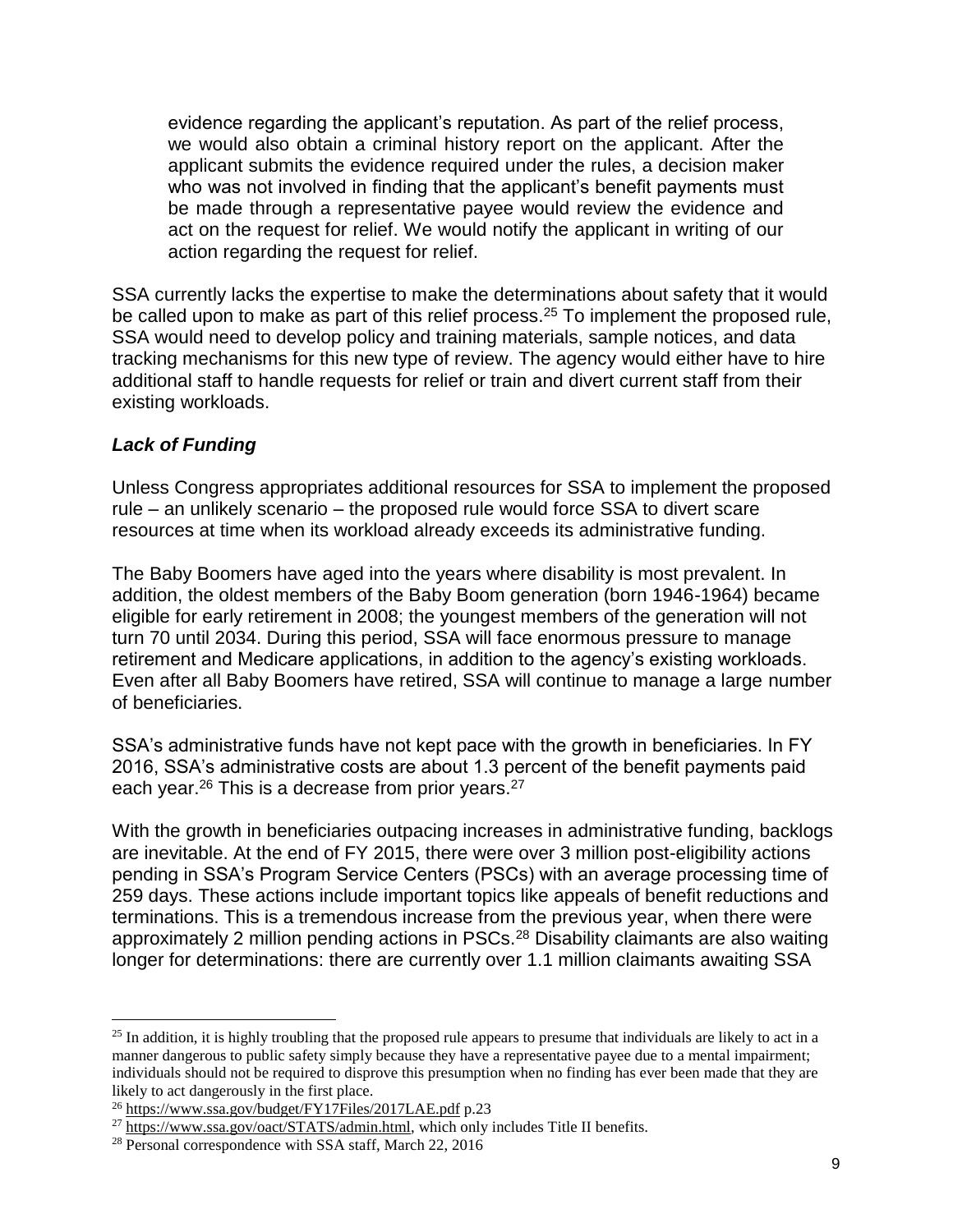evidence regarding the applicant's reputation. As part of the relief process, we would also obtain a criminal history report on the applicant. After the applicant submits the evidence required under the rules, a decision maker who was not involved in finding that the applicant's benefit payments must be made through a representative payee would review the evidence and act on the request for relief. We would notify the applicant in writing of our action regarding the request for relief.

SSA currently lacks the expertise to make the determinations about safety that it would be called upon to make as part of this relief process.<sup>25</sup> To implement the proposed rule, SSA would need to develop policy and training materials, sample notices, and data tracking mechanisms for this new type of review. The agency would either have to hire additional staff to handle requests for relief or train and divert current staff from their existing workloads.

#### *Lack of Funding*

 $\overline{a}$ 

Unless Congress appropriates additional resources for SSA to implement the proposed rule – an unlikely scenario – the proposed rule would force SSA to divert scare resources at time when its workload already exceeds its administrative funding.

The Baby Boomers have aged into the years where disability is most prevalent. In addition, the oldest members of the Baby Boom generation (born 1946-1964) became eligible for early retirement in 2008; the youngest members of the generation will not turn 70 until 2034. During this period, SSA will face enormous pressure to manage retirement and Medicare applications, in addition to the agency's existing workloads. Even after all Baby Boomers have retired, SSA will continue to manage a large number of beneficiaries.

SSA's administrative funds have not kept pace with the growth in beneficiaries. In FY 2016, SSA's administrative costs are about 1.3 percent of the benefit payments paid each year.<sup>26</sup> This is a decrease from prior years.<sup>27</sup>

With the growth in beneficiaries outpacing increases in administrative funding, backlogs are inevitable. At the end of FY 2015, there were over 3 million post-eligibility actions pending in SSA's Program Service Centers (PSCs) with an average processing time of 259 days. These actions include important topics like appeals of benefit reductions and terminations. This is a tremendous increase from the previous year, when there were approximately 2 million pending actions in PSCs.<sup>28</sup> Disability claimants are also waiting longer for determinations: there are currently over 1.1 million claimants awaiting SSA

<sup>&</sup>lt;sup>25</sup> In addition, it is highly troubling that the proposed rule appears to presume that individuals are likely to act in a manner dangerous to public safety simply because they have a representative payee due to a mental impairment; individuals should not be required to disprove this presumption when no finding has ever been made that they are likely to act dangerously in the first place.

<sup>26</sup> <https://www.ssa.gov/budget/FY17Files/2017LAE.pdf> p.23

<sup>&</sup>lt;sup>27</sup> [https://www.ssa.gov/oact/STATS/admin.html,](https://www.ssa.gov/oact/STATS/admin.html) which only includes Title II benefits.

<sup>28</sup> Personal correspondence with SSA staff, March 22, 2016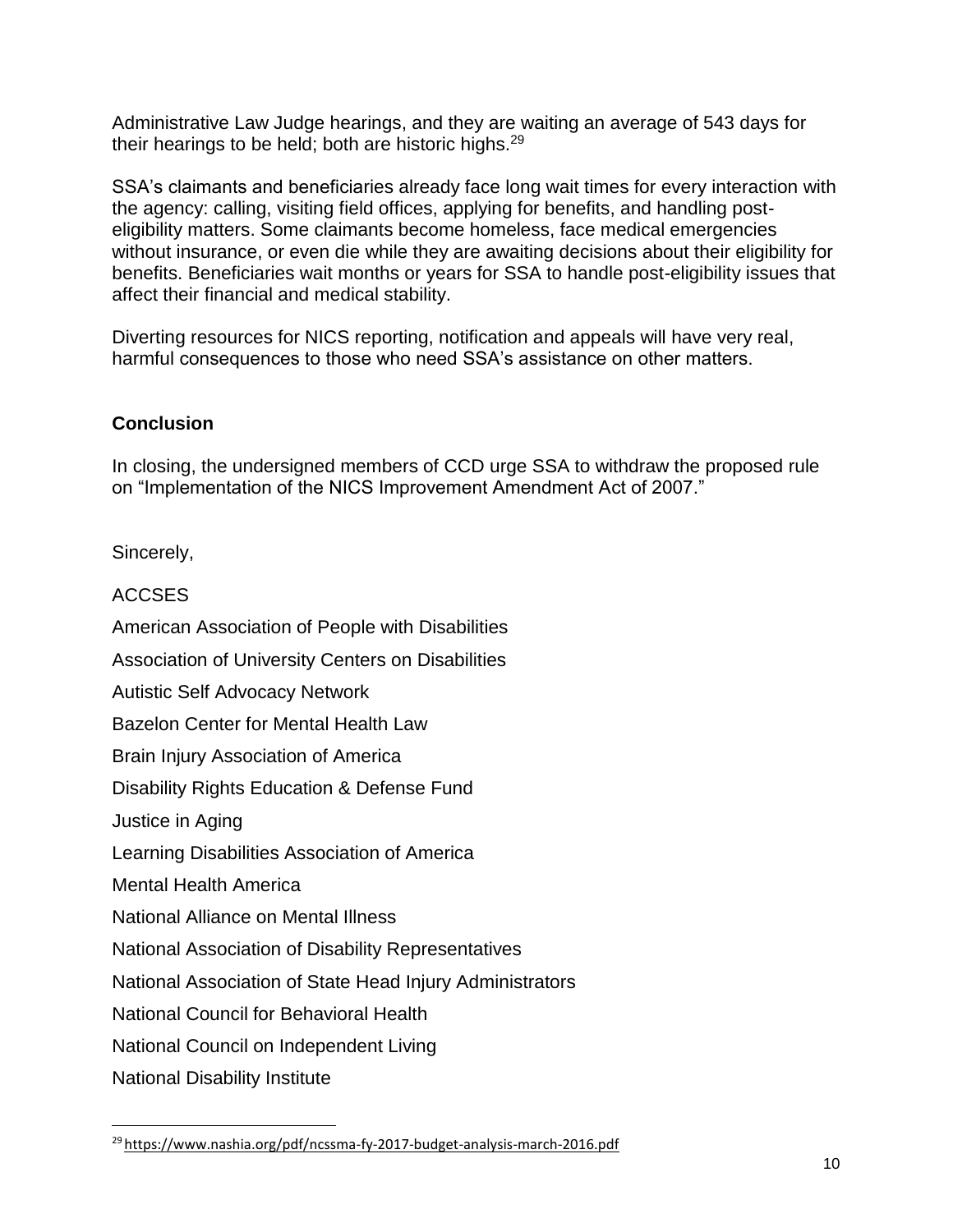Administrative Law Judge hearings, and they are waiting an average of 543 days for their hearings to be held; both are historic highs.<sup>29</sup>

SSA's claimants and beneficiaries already face long wait times for every interaction with the agency: calling, visiting field offices, applying for benefits, and handling posteligibility matters. Some claimants become homeless, face medical emergencies without insurance, or even die while they are awaiting decisions about their eligibility for benefits. Beneficiaries wait months or years for SSA to handle post-eligibility issues that affect their financial and medical stability.

Diverting resources for NICS reporting, notification and appeals will have very real, harmful consequences to those who need SSA's assistance on other matters.

# **Conclusion**

In closing, the undersigned members of CCD urge SSA to withdraw the proposed rule on "Implementation of the NICS Improvement Amendment Act of 2007."

Sincerely,

| <b>ACCSES</b>                                            |
|----------------------------------------------------------|
| American Association of People with Disabilities         |
| Association of University Centers on Disabilities        |
| <b>Autistic Self Advocacy Network</b>                    |
| Bazelon Center for Mental Health Law                     |
| Brain Injury Association of America                      |
| Disability Rights Education & Defense Fund               |
| Justice in Aging                                         |
| Learning Disabilities Association of America             |
| <b>Mental Health America</b>                             |
| <b>National Alliance on Mental Illness</b>               |
| National Association of Disability Representatives       |
| National Association of State Head Injury Administrators |
| <b>National Council for Behavioral Health</b>            |
| National Council on Independent Living                   |
| <b>National Disability Institute</b>                     |

<sup>29</sup> <https://www.nashia.org/pdf/ncssma-fy-2017-budget-analysis-march-2016.pdf>